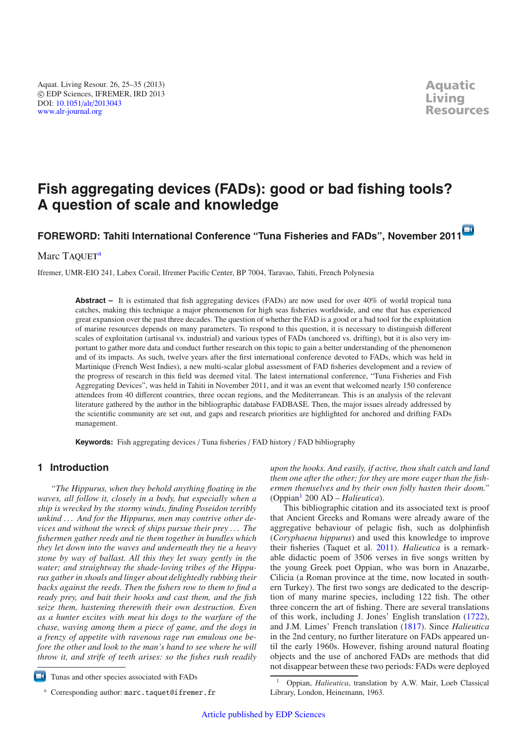Aquat. Living Resour. 26, 25–35 (2013) -c EDP Sciences, IFREMER, IRD 2013 DOI: 10.1051/alr/[2013043](http://dx.doi.org/10.1051/alr/2013043) [www.alr-journal.org](http://www.alr-journal.org)

# **Fish aggregating devices (FADs): good or bad fishing tools? A question of scale and knowledge**

# **FOREWORD: Tahiti International Conference "Tuna Fisheries and FADs", November 201[1](http://dx.doi.org/10.1051/alr/2013043)**

### Marc TAQUET<sup>a</sup>

Ifremer, UMR-EIO 241, Labex Corail, Ifremer Pacific Center, BP 7004, Taravao, Tahiti, French Polynesia

**Abstract** – It is estimated that fish aggregating devices (FADs) are now used for over 40% of world tropical tuna catches, making this technique a major phenomenon for high seas fisheries worldwide, and one that has experienced great expansion over the past three decades. The question of whether the FAD is a good or a bad tool for the exploitation of marine resources depends on many parameters. To respond to this question, it is necessary to distinguish different scales of exploitation (artisanal vs. industrial) and various types of FADs (anchored vs. drifting), but it is also very important to gather more data and conduct further research on this topic to gain a better understanding of the phenomenon and of its impacts. As such, twelve years after the first international conference devoted to FADs, which was held in Martinique (French West Indies), a new multi-scalar global assessment of FAD fisheries development and a review of the progress of research in this field was deemed vital. The latest international conference, "Tuna Fisheries and Fish Aggregating Devices", was held in Tahiti in November 2011, and it was an event that welcomed nearly 150 conference attendees from 40 different countries, three ocean regions, and the Mediterranean. This is an analysis of the relevant literature gathered by the author in the bibliographic database FADBASE. Then, the major issues already addressed by the scientific community are set out, and gaps and research priorities are highlighted for anchored and drifting FADs management.

**Keywords:** Fish aggregating devices / Tuna fisheries / FAD history / FAD bibliography

## **1 Introduction**

*"The Hippurus, when they behold anything floating in the waves, all follow it, closely in a body, but especially when a ship is wrecked by the stormy winds, finding Poseidon terribly unkind . . . And for the Hippurus, men may contrive other devices and without the wreck of ships pursue their prey . . . The fishermen gather reeds and tie them together in bundles which they let down into the waves and underneath they tie a heavy stone by way of ballast. All this they let sway gently in the water; and straightway the shade-loving tribes of the Hippurus gather in shoals and linger about delightedly rubbing their backs against the reeds. Then the fishers row to them to find a ready prey, and bait their hooks and cast them, and the fish seize them, hastening therewith their own destruction. Even as a hunter excites with meat his dogs to the warfare of the chase, waving among them a piece of game, and the dogs in a frenzy of appetite with ravenous rage run emulous one before the other and look to the man's hand to see where he will throw it, and strife of teeth arises: so the fishes rush readily* *upon the hooks. And easily, if active, thou shalt catch and land them one after the other; for they are more eager than the fishermen themselves and by their own folly hasten their doom."* (Oppian[1](#page-0-0) 200 AD – *Halieutica*).

<span id="page-0-0"></span>This bibliographic citation and its associated text is proof that Ancient Greeks and Romans were already aware of the aggregative behaviour of pelagic fish, such as dolphinfish (*Coryphaena hippurus*) and used this knowledge to improve their fisheries (Taquet et al. [2011](#page-10-0)). *Halieutica* is a remarkable didactic poem of 3506 verses in five songs written by the young Greek poet Oppian, who was born in Anazarbe, Cilicia (a Roman province at the time, now located in southern Turkey). The first two songs are dedicated to the description of many marine species, including 122 fish. The other three concern the art of fishing. There are several translations of this work, including J. Jones' English translation [\(1722\)](#page-9-0), and J.M. Limes' French translation [\(1817\)](#page-9-1). Since *Halieutica* in the 2nd century, no further literature on FADs appeared until the early 1960s. However, fishing around natural floating objects and the use of anchored FADs are methods that did not disappear between these two periods: FADs were deployed

 $\blacksquare$ Tunas and other species associated with FADs

<sup>&</sup>lt;sup>a</sup> Corresponding author: marc.taquet@ifremer.fr

<sup>1</sup> Oppian, *Halieutica*, translation by A.W. Mair, Loeb Classical Library, London, Heinemann, 1963.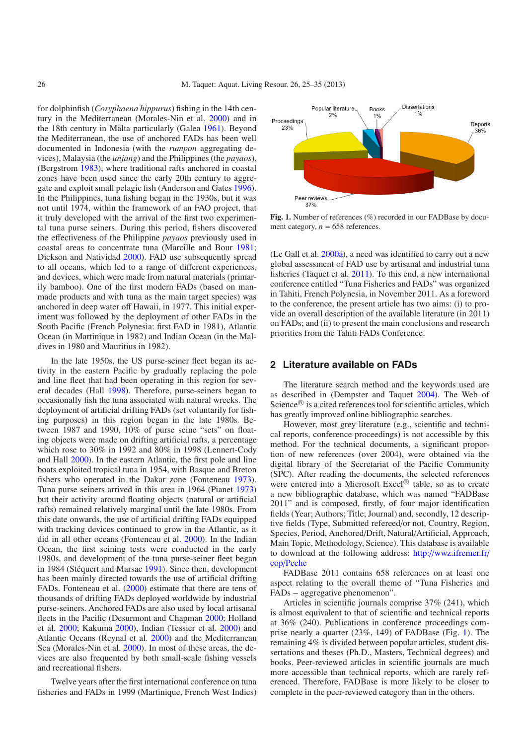for dolphinfish (*Coryphaena hippurus*) fishing in the 14th century in the Mediterranean (Morales-Nin et al. [2000](#page-9-2)) and in the 18th century in Malta particularly (Galea [1961\)](#page-9-3). Beyond the Mediterranean, the use of anchored FADs has been well documented in Indonesia (with the *rumpon* aggregating devices), Malaysia (the *unjang*) and the Philippines (the *payaos*), (Bergstrom [1983\)](#page-9-4), where traditional rafts anchored in coastal zones have been used since the early 20th century to aggregate and exploit small pelagic fish (Anderson and Gates [1996](#page-9-5)). In the Philippines, tuna fishing began in the 1930s, but it was not until 1974, within the framework of an FAO project, that it truly developed with the arrival of the first two experimental tuna purse seiners. During this period, fishers discovered the effectiveness of the Philippine *payaos* previously used in coastal areas to concentrate tuna (Marcille and Bour [1981](#page-9-6); Dickson and Natividad [2000\)](#page-9-7). FAD use subsequently spread to all oceans, which led to a range of different experiences, and devices, which were made from natural materials (primarily bamboo). One of the first modern FADs (based on manmade products and with tuna as the main target species) was anchored in deep water off Hawaii, in 1977. This initial experiment was followed by the deployment of other FADs in the South Pacific (French Polynesia: first FAD in 1981), Atlantic Ocean (in Martinique in 1982) and Indian Ocean (in the Maldives in 1980 and Mauritius in 1982).

In the late 1950s, the US purse-seiner fleet began its activity in the eastern Pacific by gradually replacing the pole and line fleet that had been operating in this region for several decades (Hall [1998\)](#page-9-8). Therefore, purse-seiners began to occasionally fish the tuna associated with natural wrecks. The deployment of artificial drifting FADs (set voluntarily for fishing purposes) in this region began in the late 1980s. Between 1987 and 1990, 10% of purse seine "sets" on floating objects were made on drifting artificial rafts, a percentage which rose to 30% in 1992 and 80% in 1998 (Lennert-Cody and Hall [2000\)](#page-9-9). In the eastern Atlantic, the first pole and line boats exploited tropical tuna in 1954, with Basque and Breton fishers who operated in the Dakar zone (Fonteneau [1973](#page-9-10)). Tuna purse seiners arrived in this area in 1964 (Pianet [1973\)](#page-9-11) but their activity around floating objects (natural or artificial rafts) remained relatively marginal until the late 1980s. From this date onwards, the use of artificial drifting FADs equipped with tracking devices continued to grow in the Atlantic, as it did in all other oceans (Fonteneau et al. [2000](#page-9-12)). In the Indian Ocean, the first seining tests were conducted in the early 1980s, and development of the tuna purse-seiner fleet began in 1984 (Stéquert and Marsac [1991\)](#page-10-1). Since then, development has been mainly directed towards the use of artificial drifting FADs. Fonteneau et al. [\(2000\)](#page-9-12) estimate that there are tens of thousands of drifting FADs deployed worldwide by industrial purse-seiners. Anchored FADs are also used by local artisanal fleets in the Pacific (Desurmont and Chapman [2000;](#page-9-13) Holland et al. [2000;](#page-9-14) Kakuma [2000\)](#page-9-15), Indian (Tessier et al. [2000\)](#page-10-2) and Atlantic Oceans (Reynal et al. [2000\)](#page-9-16) and the Mediterranean Sea (Morales-Nin et al. [2000\)](#page-9-2). In most of these areas, the devices are also frequented by both small-scale fishing vessels and recreational fishers.

Twelve years after the first international conference on tuna fisheries and FADs in 1999 (Martinique, French West Indies)

<span id="page-1-0"></span>

Fig. 1. Number of references (%) recorded in our FADBase by document category,  $n = 658$  references.

(Le Gall et al. [2000a](#page-9-17)), a need was identified to carry out a new global assessment of FAD use by artisanal and industrial tuna fisheries (Taquet et al. [2011](#page-10-0)). To this end, a new international conference entitled "Tuna Fisheries and FADs" was organized in Tahiti, French Polynesia, in November 2011. As a foreword to the conference, the present article has two aims: (i) to provide an overall description of the available literature (in 2011) on FADs; and (ii) to present the main conclusions and research priorities from the Tahiti FADs Conference.

#### **2 Literature available on FADs**

The literature search method and the keywords used are as described in (Dempster and Taquet [2004](#page-9-18)). The Web of Science<sup>®</sup> is a cited references tool for scientific articles, which has greatly improved online bibliographic searches.

However, most grey literature (e.g., scientific and technical reports, conference proceedings) is not accessible by this method. For the technical documents, a significant proportion of new references (over 2004), were obtained via the digital library of the Secretariat of the Pacific Community (SPC). After reading the documents, the selected references were entered into a Microsoft Excel $^{\circledR}$  table, so as to create a new bibliographic database, which was named "FADBase 2011" and is composed, firstly, of four major identification fields (Year; Authors; Title; Journal) and, secondly, 12 descriptive fields (Type, Submitted refereed/or not, Country, Region, Species, Period, Anchored/Drift, Natural/Artificial, Approach, Main Topic, Methodology, Science). This database is available to download at the following address: http://[wwz.ifremer.fr](http://wwz.ifremer.fr/cop/Peche)/ cop/[Peche](http://wwz.ifremer.fr/cop/Peche)

FADBase 2011 contains 658 references on at least one aspect relating to the overall theme of "Tuna Fisheries and FADs − aggregative phenomenon".

Articles in scientific journals comprise 37% (241), which is almost equivalent to that of scientific and technical reports at 36% (240). Publications in conference proceedings comprise nearly a quarter (23%, 149) of FADBase (Fig. [1\)](#page-1-0). The remaining 4% is divided between popular articles, student dissertations and theses (Ph.D., Masters, Technical degrees) and books. Peer-reviewed articles in scientific journals are much more accessible than technical reports, which are rarely referenced. Therefore, FADBase is more likely to be closer to complete in the peer-reviewed category than in the others.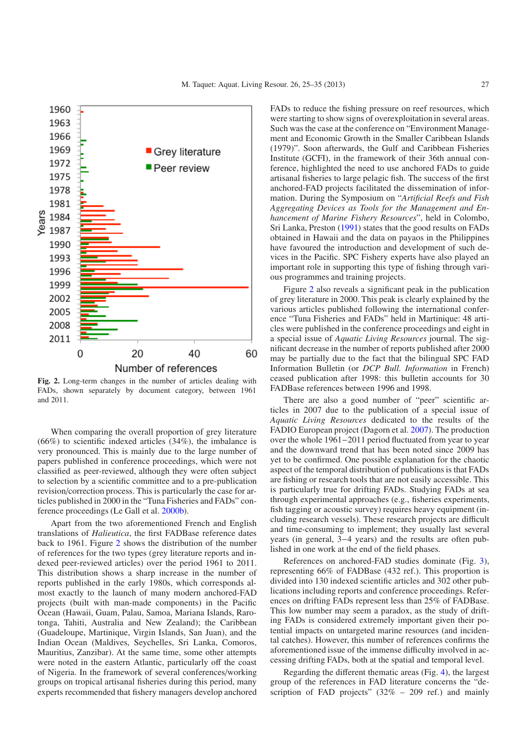

<span id="page-2-0"></span>**Fig. 2.** Long-term changes in the number of articles dealing with FADs, shown separately by document category, between 1961 and 2011.

When comparing the overall proportion of grey literature (66%) to scientific indexed articles (34%), the imbalance is very pronounced. This is mainly due to the large number of papers published in conference proceedings, which were not classified as peer-reviewed, although they were often subject to selection by a scientific committee and to a pre-publication revision/correction process. This is particularly the case for articles published in 2000 in the "Tuna Fisheries and FADs" conference proceedings (Le Gall et al. [2000b\)](#page-9-19).

Apart from the two aforementioned French and English translations of *Halieutica*, the first FADBase reference dates back to 1961. Figure [2](#page-2-0) shows the distribution of the number of references for the two types (grey literature reports and indexed peer-reviewed articles) over the period 1961 to 2011. This distribution shows a sharp increase in the number of reports published in the early 1980s, which corresponds almost exactly to the launch of many modern anchored-FAD projects (built with man-made components) in the Pacific Ocean (Hawaii, Guam, Palau, Samoa, Mariana Islands, Rarotonga, Tahiti, Australia and New Zealand); the Caribbean (Guadeloupe, Martinique, Virgin Islands, San Juan), and the Indian Ocean (Maldives, Seychelles, Sri Lanka, Comoros, Mauritius, Zanzibar). At the same time, some other attempts were noted in the eastern Atlantic, particularly off the coast of Nigeria. In the framework of several conferences/working groups on tropical artisanal fisheries during this period, many experts recommended that fishery managers develop anchored FADs to reduce the fishing pressure on reef resources, which were starting to show signs of overexploitation in several areas. Such was the case at the conference on "Environment Management and Economic Growth in the Smaller Caribbean Islands (1979)". Soon afterwards, the Gulf and Caribbean Fisheries Institute (GCFI), in the framework of their 36th annual conference, highlighted the need to use anchored FADs to guide artisanal fisheries to large pelagic fish. The success of the first anchored-FAD projects facilitated the dissemination of information. During the Symposium on "*Artificial Reefs and Fish Aggregating Devices as Tools for the Management and Enhancement of Marine Fishery Resources*", held in Colombo, Sri Lanka, Preston [\(1991\)](#page-9-20) states that the good results on FADs obtained in Hawaii and the data on payaos in the Philippines have favoured the introduction and development of such devices in the Pacific. SPC Fishery experts have also played an important role in supporting this type of fishing through various programmes and training projects.

Figure [2](#page-2-0) also reveals a significant peak in the publication of grey literature in 2000. This peak is clearly explained by the various articles published following the international conference "Tuna Fisheries and FADs" held in Martinique: 48 articles were published in the conference proceedings and eight in a special issue of *Aquatic Living Resources* journal. The significant decrease in the number of reports published after 2000 may be partially due to the fact that the bilingual SPC FAD Information Bulletin (or *DCP Bull. Information* in French) ceased publication after 1998: this bulletin accounts for 30 FADBase references between 1996 and 1998.

There are also a good number of "peer" scientific articles in 2007 due to the publication of a special issue of *Aquatic Living Resources* dedicated to the results of the FADIO European project (Dagorn et al. [2007\)](#page-9-21). The production over the whole 1961−2011 period fluctuated from year to year and the downward trend that has been noted since 2009 has yet to be confirmed. One possible explanation for the chaotic aspect of the temporal distribution of publications is that FADs are fishing or research tools that are not easily accessible. This is particularly true for drifting FADs. Studying FADs at sea through experimental approaches (e.g., fisheries experiments, fish tagging or acoustic survey) requires heavy equipment (including research vessels). These research projects are difficult and time-consuming to implement; they usually last several years (in general, 3−4 years) and the results are often published in one work at the end of the field phases.

References on anchored-FAD studies dominate (Fig. [3\)](#page-3-0), representing 66% of FADBase (432 ref.). This proportion is divided into 130 indexed scientific articles and 302 other publications including reports and conference proceedings. References on drifting FADs represent less than 25% of FADBase. This low number may seem a paradox, as the study of drifting FADs is considered extremely important given their potential impacts on untargeted marine resources (and incidental catches). However, this number of references confirms the aforementioned issue of the immense difficulty involved in accessing drifting FADs, both at the spatial and temporal level.

Regarding the different thematic areas (Fig. [4\)](#page-3-1), the largest group of the references in FAD literature concerns the "description of FAD projects"  $(32\% - 209 \text{ ref.})$  and mainly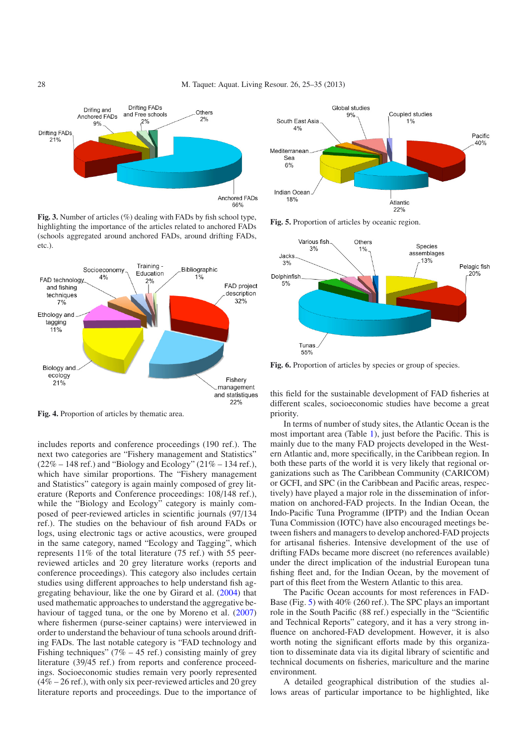<span id="page-3-0"></span>

Fig. 3. Number of articles (%) dealing with FADs by fish school type, highlighting the importance of the articles related to anchored FADs (schools aggregated around anchored FADs, around drifting FADs, etc.).

<span id="page-3-1"></span>

**Fig. 4.** Proportion of articles by thematic area.

includes reports and conference proceedings (190 ref.). The next two categories are "Fishery management and Statistics"  $(22\% - 148 \text{ ref.})$  and "Biology and Ecology"  $(21\% - 134 \text{ ref.})$ , which have similar proportions. The "Fishery management and Statistics" category is again mainly composed of grey literature (Reports and Conference proceedings: 108/148 ref.), while the "Biology and Ecology" category is mainly composed of peer-reviewed articles in scientific journals (97/134 ref.). The studies on the behaviour of fish around FADs or logs, using electronic tags or active acoustics, were grouped in the same category, named "Ecology and Tagging", which represents 11% of the total literature (75 ref.) with 55 peerreviewed articles and 20 grey literature works (reports and conference proceedings). This category also includes certain studies using different approaches to help understand fish aggregating behaviour, like the one by Girard et al. [\(2004\)](#page-9-22) that used mathematic approaches to understand the aggregative behaviour of tagged tuna, or the one by Moreno et al. [\(2007\)](#page-9-23) where fishermen (purse-seiner captains) were interviewed in order to understand the behaviour of tuna schools around drifting FADs. The last notable category is "FAD technology and Fishing techniques" ( $7\% - 45$  ref.) consisting mainly of grey literature (39/45 ref.) from reports and conference proceedings. Socioeconomic studies remain very poorly represented (4% – 26 ref.), with only six peer-reviewed articles and 20 grey literature reports and proceedings. Due to the importance of

<span id="page-3-2"></span>

**Fig. 5.** Proportion of articles by oceanic region.

<span id="page-3-3"></span>

Fig. 6. Proportion of articles by species or group of species.

this field for the sustainable development of FAD fisheries at different scales, socioeconomic studies have become a great priority.

In terms of number of study sites, the Atlantic Ocean is the most important area (Table [1\)](#page-4-0), just before the Pacific. This is mainly due to the many FAD projects developed in the Western Atlantic and, more specifically, in the Caribbean region. In both these parts of the world it is very likely that regional organizations such as The Caribbean Community (CARICOM) or GCFI, and SPC (in the Caribbean and Pacific areas, respectively) have played a major role in the dissemination of information on anchored-FAD projects. In the Indian Ocean, the Indo-Pacific Tuna Programme (IPTP) and the Indian Ocean Tuna Commission (IOTC) have also encouraged meetings between fishers and managers to develop anchored-FAD projects for artisanal fisheries. Intensive development of the use of drifting FADs became more discreet (no references available) under the direct implication of the industrial European tuna fishing fleet and, for the Indian Ocean, by the movement of part of this fleet from the Western Atlantic to this area.

The Pacific Ocean accounts for most references in FAD-Base (Fig. [5\)](#page-3-2) with 40% (260 ref.). The SPC plays an important role in the South Pacific (88 ref.) especially in the "Scientific and Technical Reports" category, and it has a very strong influence on anchored-FAD development. However, it is also worth noting the significant efforts made by this organization to disseminate data via its digital library of scientific and technical documents on fisheries, mariculture and the marine environment.

A detailed geographical distribution of the studies allows areas of particular importance to be highlighted, like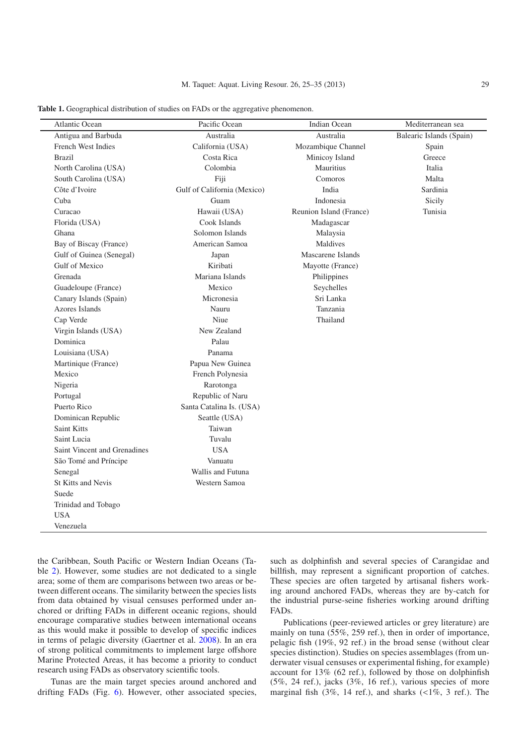<span id="page-4-0"></span>

| Table 1. Geographical distribution of studies on FADs or the aggregative phenomenon. |
|--------------------------------------------------------------------------------------|
|                                                                                      |

| <b>Atlantic Ocean</b>        | Pacific Ocean               | Indian Ocean            | Mediterranean sea        |
|------------------------------|-----------------------------|-------------------------|--------------------------|
| Antigua and Barbuda          | Australia                   | Australia               | Balearic Islands (Spain) |
| French West Indies           | California (USA)            | Mozambique Channel      | Spain                    |
| <b>Brazil</b>                | Costa Rica                  | Minicoy Island          | Greece                   |
| North Carolina (USA)         | Colombia                    | Mauritius               | Italia                   |
| South Carolina (USA)         | Fiji                        | Comoros                 | Malta                    |
| Côte d'Ivoire                | Gulf of California (Mexico) | India                   | Sardinia                 |
| Cuba                         | Guam                        | Indonesia               | Sicily                   |
| Curacao                      | Hawaii (USA)                | Reunion Island (France) | Tunisia                  |
| Florida (USA)                | Cook Islands                | Madagascar              |                          |
| Ghana                        | Solomon Islands             | Malaysia                |                          |
| Bay of Biscay (France)       | American Samoa              | Maldives                |                          |
| Gulf of Guinea (Senegal)     | Japan                       | Mascarene Islands       |                          |
| Gulf of Mexico               | Kiribati                    | Mayotte (France)        |                          |
| Grenada                      | Mariana Islands             | Philippines             |                          |
| Guadeloupe (France)          | Mexico                      | Seychelles              |                          |
| Canary Islands (Spain)       | Micronesia                  | Sri Lanka               |                          |
| Azores Islands               | Nauru                       | Tanzania                |                          |
| Cap Verde                    | Niue                        | Thailand                |                          |
| Virgin Islands (USA)         | New Zealand                 |                         |                          |
| Dominica                     | Palau                       |                         |                          |
| Louisiana (USA)              | Panama                      |                         |                          |
| Martinique (France)          | Papua New Guinea            |                         |                          |
| Mexico                       | French Polynesia            |                         |                          |
| Nigeria                      | Rarotonga                   |                         |                          |
| Portugal                     | Republic of Naru            |                         |                          |
| Puerto Rico                  | Santa Catalina Is. (USA)    |                         |                          |
| Dominican Republic           | Seattle (USA)               |                         |                          |
| <b>Saint Kitts</b>           | Taiwan                      |                         |                          |
| Saint Lucia                  | Tuvalu                      |                         |                          |
| Saint Vincent and Grenadines | <b>USA</b>                  |                         |                          |
| São Tomé and Príncipe        | Vanuatu                     |                         |                          |
| Senegal                      | Wallis and Futuna           |                         |                          |
| St Kitts and Nevis           | Western Samoa               |                         |                          |
| Suede                        |                             |                         |                          |
| Trinidad and Tobago          |                             |                         |                          |
| <b>USA</b>                   |                             |                         |                          |
| Venezuela                    |                             |                         |                          |

the Caribbean, South Pacific or Western Indian Oceans (Table [2\)](#page-5-0). However, some studies are not dedicated to a single area; some of them are comparisons between two areas or between different oceans. The similarity between the species lists from data obtained by visual censuses performed under anchored or drifting FADs in different oceanic regions, should encourage comparative studies between international oceans as this would make it possible to develop of specific indices in terms of pelagic diversity (Gaertner et al. [2008\)](#page-9-24). In an era of strong political commitments to implement large offshore Marine Protected Areas, it has become a priority to conduct research using FADs as observatory scientific tools.

Tunas are the main target species around anchored and drifting FADs (Fig. [6\)](#page-3-3). However, other associated species,

such as dolphinfish and several species of Carangidae and billfish, may represent a significant proportion of catches. These species are often targeted by artisanal fishers working around anchored FADs, whereas they are by-catch for the industrial purse-seine fisheries working around drifting FADs.

Publications (peer-reviewed articles or grey literature) are mainly on tuna (55%, 259 ref.), then in order of importance, pelagic fish (19%, 92 ref.) in the broad sense (without clear species distinction). Studies on species assemblages (from underwater visual censuses or experimental fishing, for example) account for 13% (62 ref.), followed by those on dolphinfish (5%, 24 ref.), jacks (3%, 16 ref.), various species of more marginal fish  $(3\%, 14 \text{ ref.})$ , and sharks  $(1\%, 3 \text{ ref.})$ . The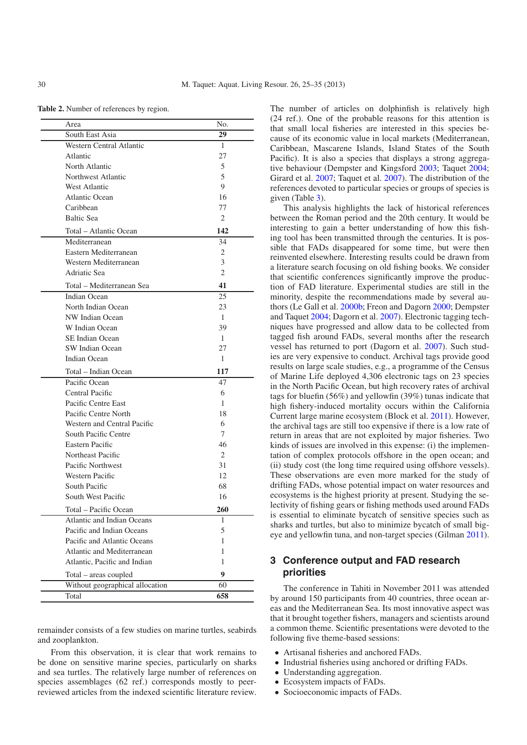<span id="page-5-0"></span>**Table 2.** Number of references by region.

| Area                            | No. |
|---------------------------------|-----|
| South East Asia                 | 29  |
| Western Central Atlantic        | 1   |
| Atlantic                        | 27  |
| North Atlantic                  | 5   |
| Northwest Atlantic              | 5   |
| West Atlantic                   | 9   |
| <b>Atlantic Ocean</b>           | 16  |
| Caribbean                       | 77  |
| <b>Baltic Sea</b>               | 2   |
| Total – Atlantic Ocean          | 142 |
| Mediterranean                   | 34  |
| Eastern Mediterranean           | 2   |
| Western Mediterranean           | 3   |
| Adriatic Sea                    | 2   |
| Total – Mediterranean Sea       | 41  |
| Indian Ocean                    | 25  |
| North Indian Ocean              | 23  |
| NW Indian Ocean                 | 1   |
| W Indian Ocean                  | 39  |
| SE Indian Ocean                 | 1   |
| SW Indian Ocean                 | 27  |
| Indian Ocean                    | 1   |
| Total – Indian Ocean            | 117 |
| Pacific Ocean                   | 47  |
| Central Pacific                 | 6   |
| Pacific Centre East             | 1   |
| Pacific Centre North            | 18  |
| Western and Central Pacific     | 6   |
| South Pacific Centre            | 7   |
| Eastern Pacific                 | 46  |
| Northeast Pacific               | 2   |
| Pacific Northwest               | 31  |
| Western Pacific                 | 12  |
| South Pacific                   | 68  |
| South West Pacific              | 16  |
| Total – Pacific Ocean           | 260 |
| Atlantic and Indian Oceans      | 1   |
| Pacific and Indian Oceans       | 5   |
| Pacific and Atlantic Oceans     | 1   |
| Atlantic and Mediterranean      | 1   |
| Atlantic, Pacific and Indian    | 1   |
| Total - areas coupled           | 9   |
| Without geographical allocation | 60  |
| Total                           | 658 |

remainder consists of a few studies on marine turtles, seabirds and zooplankton.

From this observation, it is clear that work remains to be done on sensitive marine species, particularly on sharks and sea turtles. The relatively large number of references on species assemblages (62 ref.) corresponds mostly to peerreviewed articles from the indexed scientific literature review. The number of articles on dolphinfish is relatively high (24 ref.). One of the probable reasons for this attention is that small local fisheries are interested in this species because of its economic value in local markets (Mediterranean, Caribbean, Mascarene Islands, Island States of the South Pacific). It is also a species that displays a strong aggregative behaviour (Dempster and Kingsford [2003;](#page-9-25) Taquet [2004;](#page-10-3) Girard et al. [2007;](#page-9-26) Taquet et al. [2007](#page-10-4)). The distribution of the references devoted to particular species or groups of species is given (Table [3\)](#page-6-0).

This analysis highlights the lack of historical references between the Roman period and the 20th century. It would be interesting to gain a better understanding of how this fishing tool has been transmitted through the centuries. It is possible that FADs disappeared for some time, but were then reinvented elsewhere. Interesting results could be drawn from a literature search focusing on old fishing books. We consider that scientific conferences significantly improve the production of FAD literature. Experimental studies are still in the minority, despite the recommendations made by several authors (Le Gall et al. [2000b;](#page-9-19) Freon and Dagorn [2000;](#page-9-27) Dempster and Taquet [2004](#page-9-18); Dagorn et al. [2007\)](#page-9-21). Electronic tagging techniques have progressed and allow data to be collected from tagged fish around FADs, several months after the research vessel has returned to port (Dagorn et al. [2007\)](#page-9-21). Such studies are very expensive to conduct. Archival tags provide good results on large scale studies, e.g., a programme of the Census of Marine Life deployed 4,306 electronic tags on 23 species in the North Pacific Ocean, but high recovery rates of archival tags for bluefin (56%) and yellowfin (39%) tunas indicate that high fishery-induced mortality occurs within the California Current large marine ecosystem (Block et al. [2011\)](#page-9-28). However, the archival tags are still too expensive if there is a low rate of return in areas that are not exploited by major fisheries. Two kinds of issues are involved in this expense: (i) the implementation of complex protocols offshore in the open ocean; and (ii) study cost (the long time required using offshore vessels). These observations are even more marked for the study of drifting FADs, whose potential impact on water resources and ecosystems is the highest priority at present. Studying the selectivity of fishing gears or fishing methods used around FADs is essential to eliminate bycatch of sensitive species such as sharks and turtles, but also to minimize bycatch of small bigeye and yellowfin tuna, and non-target species (Gilman [2011\)](#page-9-29).

# **3 Conference output and FAD research priorities**

The conference in Tahiti in November 2011 was attended by around 150 participants from 40 countries, three ocean areas and the Mediterranean Sea. Its most innovative aspect was that it brought together fishers, managers and scientists around a common theme. Scientific presentations were devoted to the following five theme-based sessions:

- Artisanal fisheries and anchored FADs.
- Industrial fisheries using anchored or drifting FADs.
- Understanding aggregation.
- Ecosystem impacts of FADs.
- Socioeconomic impacts of FADs.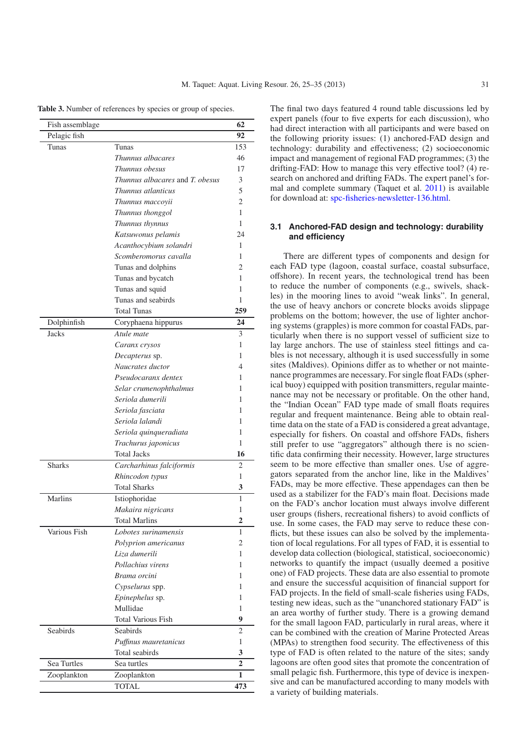<span id="page-6-0"></span>Table 3. Number of references by species or group of species.

| Fish assemblage |                                 | 62             |
|-----------------|---------------------------------|----------------|
| Pelagic fish    |                                 | 92             |
| Tunas           | Tunas                           | 153            |
|                 | Thunnus albacares               | 46             |
|                 | Thunnus obesus                  | 17             |
|                 | Thunnus albacares and T. obesus | 3              |
|                 | Thunnus atlanticus              | 5              |
|                 | Thunnus maccoyii                | 2              |
|                 | Thunnus thonggol                | 1              |
|                 | Thunnus thynnus                 | 1              |
|                 | Katsuwonus pelamis              | 24             |
|                 | Acanthocybium solandri          | 1              |
|                 | Scomberomorus cavalla           | 1              |
|                 | Tunas and dolphins              | 2              |
|                 | Tunas and bycatch               | 1              |
|                 | Tunas and squid                 | 1              |
|                 | Tunas and seabirds              | 1              |
|                 | <b>Total Tunas</b>              | 259            |
| Dolphinfish     | Coryphaena hippurus             | 24             |
| <b>Jacks</b>    | Atule mate                      | 3              |
|                 | Caranx crysos                   | 1              |
|                 | Decapterus sp.                  | 1              |
|                 | Naucrates ductor                | 4              |
|                 | Pseudocaranx dentex             | 1              |
|                 | Selar crumenophthalmus          | 1              |
|                 | Seriola dumerili                | 1              |
|                 | Seriola fasciata                | 1              |
|                 | Seriola lalandi                 | 1              |
|                 | Seriola quinqueradiata          | 1              |
|                 | Trachurus japonicus             | 1              |
|                 | <b>Total Jacks</b>              | 16             |
| <b>Sharks</b>   | Carcharhinus falciformis        | 2              |
|                 | Rhincodon typus                 | 1              |
|                 | <b>Total Sharks</b>             | 3              |
| <b>Marlins</b>  | Istiophoridae                   | 1              |
|                 | Makaira nigricans               | 1              |
|                 | <b>Total Marlins</b>            | 2              |
| Various Fish    | Lobotes surinamensis            | 1              |
|                 | Polyprion americanus            | 2              |
|                 | Liza dumerili                   | 1              |
|                 | Pollachius virens               | 1              |
|                 | Brama orcini                    | 1              |
|                 | Cypselurus spp.                 | 1              |
|                 | Epinephelus sp.                 | 1              |
|                 | Mullidae                        | 1              |
|                 | Total Various Fish              | 9              |
| Seabirds        | Seabirds                        | 2              |
|                 | Puffinus mauretanicus           | 1              |
|                 | Total seabirds                  | 3              |
| Sea Turtles     | Sea turtles                     | $\overline{2}$ |
| Zooplankton     | Zooplankton                     | 1              |
|                 | <b>TOTAL</b>                    | 473            |

The final two days featured 4 round table discussions led by expert panels (four to five experts for each discussion), who had direct interaction with all participants and were based on the following priority issues: (1) anchored-FAD design and technology: durability and effectiveness; (2) socioeconomic impact and management of regional FAD programmes; (3) the drifting-FAD: How to manage this very effective tool? (4) research on anchored and drifting FADs. The expert panel's formal and complete summary (Taquet et al. [2011](#page-10-0)) is available for download at: [spc-fisheries-newsletter-136.html.](http://www.spc.int/coastfish/en/publications/bulletins/399-spc-fisheries-newsletter-136.html)

#### **3.1 Anchored-FAD design and technology: durability and efficiency**

There are different types of components and design for each FAD type (lagoon, coastal surface, coastal subsurface, offshore). In recent years, the technological trend has been to reduce the number of components (e.g., swivels, shackles) in the mooring lines to avoid "weak links". In general, the use of heavy anchors or concrete blocks avoids slippage problems on the bottom; however, the use of lighter anchoring systems (grapples) is more common for coastal FADs, particularly when there is no support vessel of sufficient size to lay large anchors. The use of stainless steel fittings and cables is not necessary, although it is used successfully in some sites (Maldives). Opinions differ as to whether or not maintenance programmes are necessary. For single float FADs (spherical buoy) equipped with position transmitters, regular maintenance may not be necessary or profitable. On the other hand, the "Indian Ocean" FAD type made of small floats requires regular and frequent maintenance. Being able to obtain realtime data on the state of a FAD is considered a great advantage, especially for fishers. On coastal and offshore FADs, fishers still prefer to use "aggregators" although there is no scientific data confirming their necessity. However, large structures seem to be more effective than smaller ones. Use of aggregators separated from the anchor line, like in the Maldives' FADs, may be more effective. These appendages can then be used as a stabilizer for the FAD's main float. Decisions made on the FAD's anchor location must always involve different user groups (fishers, recreational fishers) to avoid conflicts of use. In some cases, the FAD may serve to reduce these conflicts, but these issues can also be solved by the implementation of local regulations. For all types of FAD, it is essential to develop data collection (biological, statistical, socioeconomic) networks to quantify the impact (usually deemed a positive one) of FAD projects. These data are also essential to promote and ensure the successful acquisition of financial support for FAD projects. In the field of small-scale fisheries using FADs, testing new ideas, such as the "unanchored stationary FAD" is an area worthy of further study. There is a growing demand for the small lagoon FAD, particularly in rural areas, where it can be combined with the creation of Marine Protected Areas (MPAs) to strengthen food security. The effectiveness of this type of FAD is often related to the nature of the sites; sandy lagoons are often good sites that promote the concentration of small pelagic fish. Furthermore, this type of device is inexpensive and can be manufactured according to many models with a variety of building materials.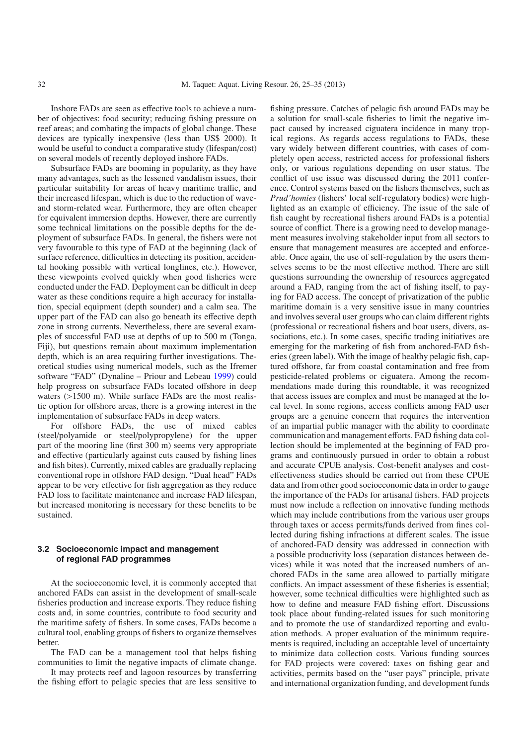Inshore FADs are seen as effective tools to achieve a number of objectives: food security; reducing fishing pressure on reef areas; and combating the impacts of global change. These devices are typically inexpensive (less than US\$ 2000). It would be useful to conduct a comparative study (lifespan/cost) on several models of recently deployed inshore FADs.

Subsurface FADs are booming in popularity, as they have many advantages, such as the lessened vandalism issues, their particular suitability for areas of heavy maritime traffic, and their increased lifespan, which is due to the reduction of waveand storm-related wear. Furthermore, they are often cheaper for equivalent immersion depths. However, there are currently some technical limitations on the possible depths for the deployment of subsurface FADs. In general, the fishers were not very favourable to this type of FAD at the beginning (lack of surface reference, difficulties in detecting its position, accidental hooking possible with vertical longlines, etc.). However, these viewpoints evolved quickly when good fisheries were conducted under the FAD. Deployment can be difficult in deep water as these conditions require a high accuracy for installation, special equipment (depth sounder) and a calm sea. The upper part of the FAD can also go beneath its effective depth zone in strong currents. Nevertheless, there are several examples of successful FAD use at depths of up to 500 m (Tonga, Fiji), but questions remain about maximum implementation depth, which is an area requiring further investigations. Theoretical studies using numerical models, such as the Ifremer software "FAD" (Dynaline – Priour and Lebeau [1999](#page-9-30)) could help progress on subsurface FADs located offshore in deep waters (>1500 m). While surface FADs are the most realistic option for offshore areas, there is a growing interest in the implementation of subsurface FADs in deep waters.

For offshore FADs, the use of mixed cables (steel/polyamide or steel/polypropylene) for the upper part of the mooring line (first 300 m) seems very appropriate and effective (particularly against cuts caused by fishing lines and fish bites). Currently, mixed cables are gradually replacing conventional rope in offshore FAD design. "Dual head" FADs appear to be very effective for fish aggregation as they reduce FAD loss to facilitate maintenance and increase FAD lifespan, but increased monitoring is necessary for these benefits to be sustained.

#### **3.2 Socioeconomic impact and management of regional FAD programmes**

At the socioeconomic level, it is commonly accepted that anchored FADs can assist in the development of small-scale fisheries production and increase exports. They reduce fishing costs and, in some countries, contribute to food security and the maritime safety of fishers. In some cases, FADs become a cultural tool, enabling groups of fishers to organize themselves better.

The FAD can be a management tool that helps fishing communities to limit the negative impacts of climate change.

It may protects reef and lagoon resources by transferring the fishing effort to pelagic species that are less sensitive to fishing pressure. Catches of pelagic fish around FADs may be a solution for small-scale fisheries to limit the negative impact caused by increased ciguatera incidence in many tropical regions. As regards access regulations to FADs, these vary widely between different countries, with cases of completely open access, restricted access for professional fishers only, or various regulations depending on user status. The conflict of use issue was discussed during the 2011 conference. Control systems based on the fishers themselves, such as *Prud'homies* (fishers' local self-regulatory bodies) were highlighted as an example of efficiency. The issue of the sale of fish caught by recreational fishers around FADs is a potential source of conflict. There is a growing need to develop management measures involving stakeholder input from all sectors to ensure that management measures are accepted and enforceable. Once again, the use of self-regulation by the users themselves seems to be the most effective method. There are still questions surrounding the ownership of resources aggregated around a FAD, ranging from the act of fishing itself, to paying for FAD access. The concept of privatization of the public maritime domain is a very sensitive issue in many countries and involves several user groups who can claim different rights (professional or recreational fishers and boat users, divers, associations, etc.). In some cases, specific trading initiatives are emerging for the marketing of fish from anchored-FAD fisheries (green label). With the image of healthy pelagic fish, captured offshore, far from coastal contamination and free from pesticide-related problems or ciguatera. Among the recommendations made during this roundtable, it was recognized that access issues are complex and must be managed at the local level. In some regions, access conflicts among FAD user groups are a genuine concern that requires the intervention of an impartial public manager with the ability to coordinate communication and management efforts. FAD fishing data collection should be implemented at the beginning of FAD programs and continuously pursued in order to obtain a robust and accurate CPUE analysis. Cost-benefit analyses and costeffectiveness studies should be carried out from these CPUE data and from other good socioeconomic data in order to gauge the importance of the FADs for artisanal fishers. FAD projects must now include a reflection on innovative funding methods which may include contributions from the various user groups through taxes or access permits/funds derived from fines collected during fishing infractions at different scales. The issue of anchored-FAD density was addressed in connection with a possible productivity loss (separation distances between devices) while it was noted that the increased numbers of anchored FADs in the same area allowed to partially mitigate conflicts. An impact assessment of these fisheries is essential; however, some technical difficulties were highlighted such as how to define and measure FAD fishing effort. Discussions took place about funding-related issues for such monitoring and to promote the use of standardized reporting and evaluation methods. A proper evaluation of the minimum requirements is required, including an acceptable level of uncertainty to minimize data collection costs. Various funding sources for FAD projects were covered: taxes on fishing gear and activities, permits based on the "user pays" principle, private and international organization funding, and development funds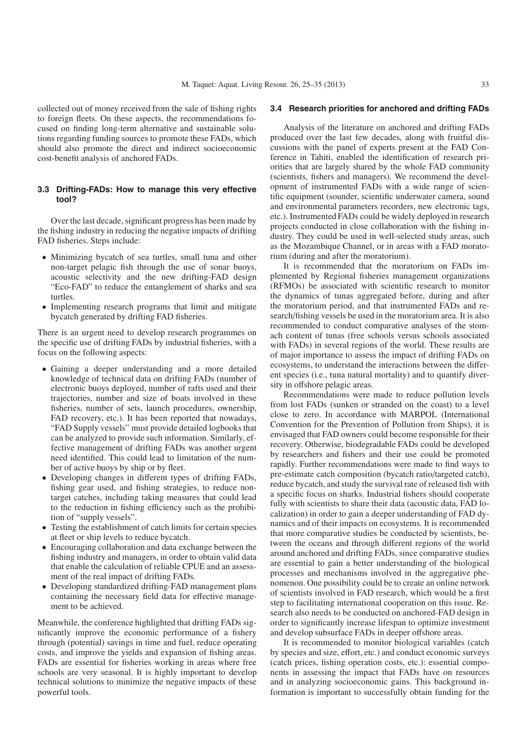collected out of money received from the sale of fishing rights to foreign fleets. On these aspects, the recommendations focused on finding long-term alternative and sustainable solutions regarding funding sources to promote these FADs, which should also promote the direct and indirect socioeconomic cost-benefit analysis of anchored FADs.

#### **3.3 Drifting-FADs: How to manage this very effective tool?**

Over the last decade, significant progress has been made by the fishing industry in reducing the negative impacts of drifting FAD fisheries. Steps include:

- Minimizing bycatch of sea turtles, small tuna and other non-target pelagic fish through the use of sonar buoys, acoustic selectivity and the new drifting-FAD design "Eco-FAD" to reduce the entanglement of sharks and sea turtles.
- Implementing research programs that limit and mitigate bycatch generated by drifting FAD fisheries.

There is an urgent need to develop research programmes on the specific use of drifting FADs by industrial fisheries, with a focus on the following aspects:

- Gaining a deeper understanding and a more detailed knowledge of technical data on drifting FADs (number of electronic buoys deployed, number of rafts used and their trajectories, number and size of boats involved in these fisheries, number of sets, launch procedures, ownership, FAD recovery, etc.). It has been reported that nowadays, "FAD Supply vessels" must provide detailed logbooks that can be analyzed to provide such information. Similarly, effective management of drifting FADs was another urgent need identified. This could lead to limitation of the number of active buoys by ship or by fleet.
- Developing changes in different types of drifting FADs, fishing gear used, and fishing strategies, to reduce nontarget catches, including taking measures that could lead to the reduction in fishing efficiency such as the prohibition of "supply vessels".
- Testing the establishment of catch limits for certain species at fleet or ship levels to reduce bycatch.
- Encouraging collaboration and data exchange between the fishing industry and managers, in order to obtain valid data that enable the calculation of reliable CPUE and an assessment of the real impact of drifting FADs.
- Developing standardized drifting-FAD management plans containing the necessary field data for effective management to be achieved.

Meanwhile, the conference highlighted that drifting FADs significantly improve the economic performance of a fishery through (potential) savings in time and fuel, reduce operating costs, and improve the yields and expansion of fishing areas. FADs are essential for fisheries working in areas where free schools are very seasonal. It is highly important to develop technical solutions to minimize the negative impacts of these powerful tools.

#### **3.4 Research priorities for anchored and drifting FADs**

Analysis of the literature on anchored and drifting FADs produced over the last few decades, along with fruitful discussions with the panel of experts present at the FAD Conference in Tahiti, enabled the identification of research priorities that are largely shared by the whole FAD community (scientists, fishers and managers). We recommend the development of instrumented FADs with a wide range of scientific equipment (sounder, scientific underwater camera, sound and environmental parameters recorders, new electronic tags, etc.). Instrumented FADs could be widely deployed in research projects conducted in close collaboration with the fishing industry. They could be used in well-selected study areas, such as the Mozambique Channel, or in areas with a FAD moratorium (during and after the moratorium).

It is recommended that the moratorium on FADs implemented by Regional fisheries management organizations (RFMOs) be associated with scientific research to monitor the dynamics of tunas aggregated before, during and after the moratorium period, and that instrumented FADs and research/fishing vessels be used in the moratorium area. It is also recommended to conduct comparative analyses of the stomach content of tunas (free schools versus schools associated with FADs) in several regions of the world. These results are of major importance to assess the impact of drifting FADs on ecosystems, to understand the interactions between the different species (i.e., tuna natural mortality) and to quantify diversity in offshore pelagic areas.

Recommendations were made to reduce pollution levels from lost FADs (sunken or stranded on the coast) to a level close to zero. In accordance with MARPOL (International Convention for the Prevention of Pollution from Ships), it is envisaged that FAD owners could become responsible for their recovery. Otherwise, biodegradable FADs could be developed by researchers and fishers and their use could be promoted rapidly. Further recommendations were made to find ways to pre-estimate catch composition (bycatch ratio/targeted catch), reduce bycatch, and study the survival rate of released fish with a specific focus on sharks. Industrial fishers should cooperate fully with scientists to share their data (acoustic data, FAD localization) in order to gain a deeper understanding of FAD dynamics and of their impacts on ecosystems. It is recommended that more comparative studies be conducted by scientists, between the oceans and through different regions of the world around anchored and drifting FADs, since comparative studies are essential to gain a better understanding of the biological processes and mechanisms involved in the aggregative phenomenon. One possibility could be to create an online network of scientists involved in FAD research, which would be a first step to facilitating international cooperation on this issue. Research also needs to be conducted on anchored-FAD design in order to significantly increase lifespan to optimize investment and develop subsurface FADs in deeper offshore areas.

It is recommended to monitor biological variables (catch by species and size, effort, etc.) and conduct economic surveys (catch prices, fishing operation costs, etc.): essential components in assessing the impact that FADs have on resources and in analyzing socioeconomic gains. This background information is important to successfully obtain funding for the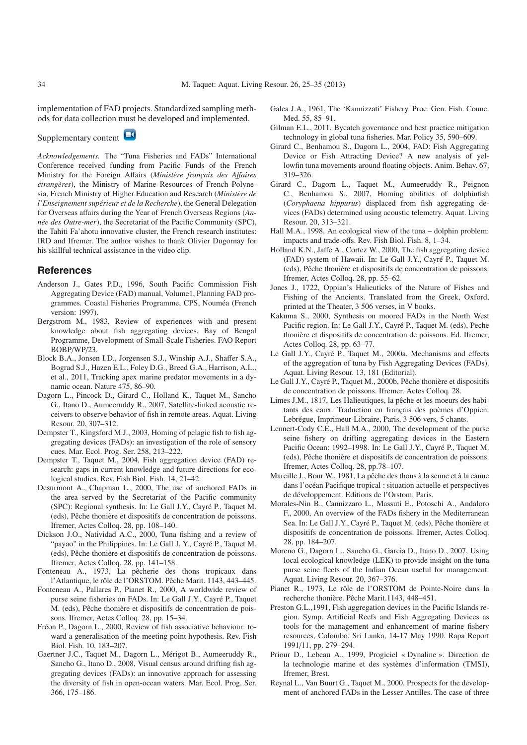implementation of FAD projects. Standardized sampling methods for data collection must be developed and implemented.

Supplementary content

*Acknowledgements.* The "Tuna Fisheries and FADs" International Conference received funding from Pacific Funds of the French Ministry for the Foreign Affairs (*Ministère français des A*ff*aires étrangères*), the Ministry of Marine Resources of French Polynesia, French Ministry of Higher Education and Research (*Ministère de l'Enseignement supérieur et de la Recherche*), the General Delegation for Overseas affairs during the Year of French Overseas Regions (*Année des Outre-mer*), the Secretariat of the Pacific Community (SPC), the Tahiti Fa'ahotu innovative cluster, the French research institutes: IRD and Ifremer. The author wishes to thank Olivier Dugornay for his skillful technical assistance in the video clip.

#### **References**

- <span id="page-9-5"></span>Anderson J., Gates P.D., 1996, South Pacific Commission Fish Aggregating Device (FAD) manual, Volume1, Planning FAD programmes. Coastal Fisheries Programme, CPS, Nouméa (French version: 1997).
- <span id="page-9-4"></span>Bergstrom M., 1983, Review of experiences with and present knowledge about fish aggregating devices. Bay of Bengal Programme, Development of Small-Scale Fisheries. FAO Report BOBP/WP/23.
- <span id="page-9-28"></span>Block B.A., Jonsen I.D., Jorgensen S.J., Winship A.J., Shaffer S.A., Bograd S.J., Hazen E.L., Foley D.G., Breed G.A., Harrison, A.L., et al., 2011, Tracking apex marine predator movements in a dynamic ocean. Nature 475, 86–90.
- <span id="page-9-21"></span>Dagorn L., Pincock D., Girard C., Holland K., Taquet M., Sancho G., Itano D., Aumeeruddy R., 2007, Satellite-linked acoustic receivers to observe behavior of fish in remote areas. Aquat. Living Resour. 20, 307–312.
- <span id="page-9-25"></span>Dempster T., Kingsford M.J., 2003, Homing of pelagic fish to fish aggregating devices (FADs): an investigation of the role of sensory cues. Mar. Ecol. Prog. Ser. 258, 213–222.
- <span id="page-9-18"></span>Dempster T., Taquet M., 2004, Fish aggregation device (FAD) research: gaps in current knowledge and future directions for ecological studies. Rev. Fish Biol. Fish. 14, 21–42.
- <span id="page-9-13"></span>Desurmont A., Chapman L., 2000, The use of anchored FADs in the area served by the Secretariat of the Pacific community (SPC): Regional synthesis. In: Le Gall J.Y., Cayré P., Taquet M. (eds), Pêche thonière et dispositifs de concentration de poissons. Ifremer, Actes Colloq. 28, pp. 108–140.
- <span id="page-9-7"></span>Dickson J.O., Natividad A.C., 2000, Tuna fishing and a review of "payao" in the Philippines. In: Le Gall J. Y., Cayré P., Taquet M. (eds), Pêche thonière et dispositifs de concentration de poissons. Ifremer, Actes Colloq. 28, pp. 141–158.
- <span id="page-9-10"></span>Fonteneau A., 1973, La pêcherie des thons tropicaux dans l'Atlantique, le rôle de l'ORSTOM. Pêche Marit. 1143, 443–445.
- <span id="page-9-12"></span>Fonteneau A., Pallares P., Pianet R., 2000, A worldwide review of purse seine fisheries on FADs. In: Le Gall J.Y., Cayré P., Taquet M. (eds), Pêche thonière et dispositifs de concentration de poissons. Ifremer, Actes Colloq. 28, pp. 15–34.
- <span id="page-9-27"></span>Fréon P., Dagorn L., 2000, Review of fish associative behaviour: toward a generalisation of the meeting point hypothesis. Rev. Fish Biol. Fish. 10, 183–207.
- <span id="page-9-24"></span>Gaertner J.C., Taquet M., Dagorn L., Mérigot B., Aumeeruddy R., Sancho G., Itano D., 2008, Visual census around drifting fish aggregating devices (FADs): an innovative approach for assessing the diversity of fish in open-ocean waters. Mar. Ecol. Prog. Ser. 366, 175–186.
- <span id="page-9-3"></span>Galea J.A., 1961, The 'Kannizzati' Fishery. Proc. Gen. Fish. Counc. Med. 55, 85–91.
- <span id="page-9-29"></span>Gilman E.L., 2011, Bycatch governance and best practice mitigation technology in global tuna fisheries. Mar. Policy 35, 590–609.
- <span id="page-9-22"></span>Girard C., Benhamou S., Dagorn L., 2004, FAD: Fish Aggregating Device or Fish Attracting Device? A new analysis of yellowfin tuna movements around floating objects. Anim. Behav. 67, 319–326.
- <span id="page-9-26"></span>Girard C., Dagorn L., Taquet M., Aumeeruddy R., Peignon C., Benhamou S., 2007, Homing abilities of dolphinfish (*Coryphaena hippurus*) displaced from fish aggregating devices (FADs) determined using acoustic telemetry. Aquat. Living Resour. 20, 313–321.
- <span id="page-9-8"></span>Hall M.A., 1998, An ecological view of the tuna – dolphin problem: impacts and trade-offs. Rev. Fish Biol. Fish. 8, 1–34.
- <span id="page-9-14"></span>Holland K.N., Jaffe A., Cortez W., 2000, The fish aggregating device (FAD) system of Hawaii. In: Le Gall J.Y., Cayré P., Taquet M. (eds), Pêche thonière et dispositifs de concentration de poissons. Ifremer, Actes Colloq. 28, pp. 55–62.
- <span id="page-9-0"></span>Jones J., 1722, Oppian's Halieuticks of the Nature of Fishes and Fishing of the Ancients. Translated from the Greek, Oxford, printed at the Theater, 3 506 verses, in V books.
- <span id="page-9-15"></span>Kakuma S., 2000, Synthesis on moored FADs in the North West Pacific region. In: Le Gall J.Y., Cayré P., Taquet M. (eds), Peche thonière et dispositifs de concentration de poissons. Ed. Ifremer, Actes Colloq. 28, pp. 63–77.
- <span id="page-9-17"></span>Le Gall J.Y., Cayré P., Taquet M., 2000a, Mechanisms and effects of the aggregation of tuna by Fish Aggregating Devices (FADs). Aquat. Living Resour. 13, 181 (Editorial).
- <span id="page-9-19"></span>Le Gall J.Y., Cayré P., Taquet M., 2000b, Pêche thonière et dispositifs de concentration de poissons. Ifremer. Actes Colloq. 28.
- <span id="page-9-1"></span>Limes J.M., 1817, Les Halieutiques, la pêche et les moeurs des habitants des eaux. Traduction en français des poèmes d'Oppien. Lebrégue, Imprimeur-Libraire, Paris, 3 506 vers, 5 chants.
- <span id="page-9-9"></span>Lennert-Cody C.E., Hall M.A., 2000, The development of the purse seine fishery on drifting aggregating devices in the Eastern Pacific Ocean: 1992–1998. In: Le Gall J.Y., Cayré P., Taquet M. (eds), Pêche thonière et dispositifs de concentration de poissons. Ifremer, Actes Colloq. 28, pp.78–107.
- <span id="page-9-6"></span>Marcille J., Bour W., 1981, La pêche des thons à la senne et à la canne dans l'océan Pacifique tropical : situation actuelle et perspectives de développement. Editions de l'Orstom, Paris.
- <span id="page-9-2"></span>Morales-Nin B., Cannizzaro L., Massuti E., Potoschi A., Andaloro F., 2000, An overview of the FADs fishery in the Mediterranean Sea. In: Le Gall J.Y., Cayré P., Taquet M. (eds), Pêche thonière et dispositifs de concentration de poissons. Ifremer, Actes Colloq. 28, pp. 184–207.
- <span id="page-9-23"></span>Moreno G., Dagorn L., Sancho G., Garcia D., Itano D., 2007, Using local ecological knowledge (LEK) to provide insight on the tuna purse seine fleets of the Indian Ocean useful for management. Aquat. Living Resour. 20, 367–376.
- <span id="page-9-11"></span>Pianet R., 1973, Le rôle de l'ORSTOM de Pointe-Noire dans la recherche thonière. Pêche Marit.1143, 448–451.
- <span id="page-9-20"></span>Preston G.L.,1991, Fish aggregation devices in the Pacific Islands region. Symp. Artificial Reefs and Fish Aggregating Devices as tools for the management and enhancement of marine fishery resources, Colombo, Sri Lanka, 14-17 May 1990. Rapa Report 1991/11, pp. 279–294.
- <span id="page-9-30"></span>Priour D., Lebeau A., 1999, Progiciel « Dynaline ». Direction de la technologie marine et des systèmes d'information (TMSI), Ifremer, Brest.
- <span id="page-9-16"></span>Reynal L., Van Buurt G., Taquet M., 2000, Prospects for the development of anchored FADs in the Lesser Antilles. The case of three